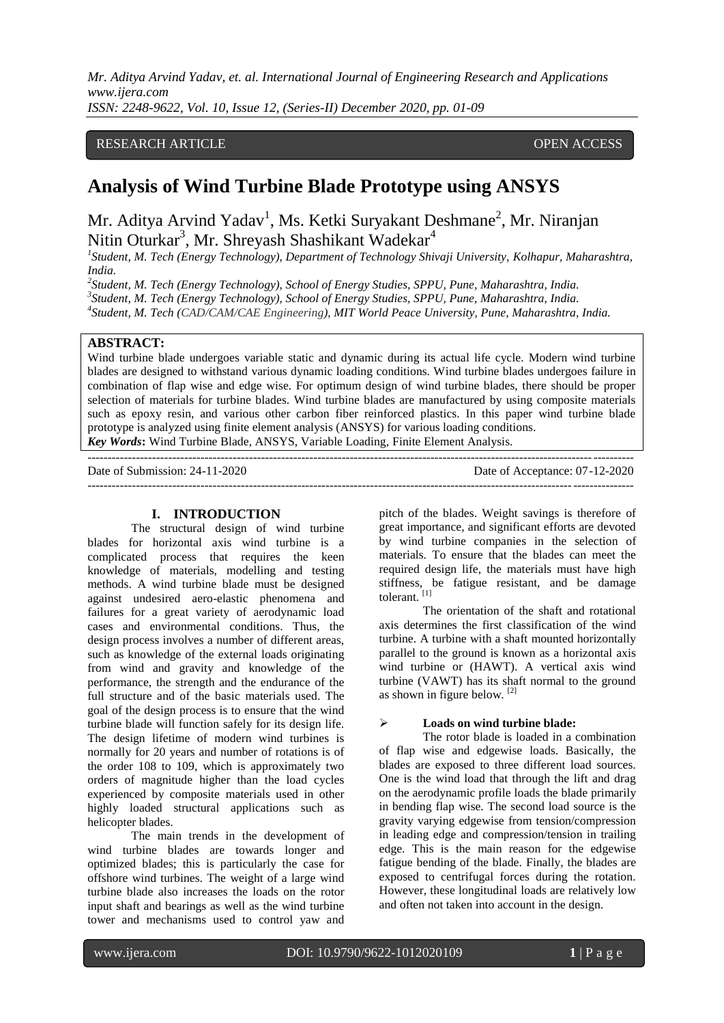*Mr. Aditya Arvind Yadav, et. al. International Journal of Engineering Research and Applications www.ijera.com*

*ISSN: 2248-9622, Vol. 10, Issue 12, (Series-II) December 2020, pp. 01-09*

# RESEARCH ARTICLE **CONSERVERS** OPEN ACCESS

# **Analysis of Wind Turbine Blade Prototype using ANSYS**

Mr. Aditya Arvind Yadav<sup>1</sup>, Ms. Ketki Suryakant Deshmane<sup>2</sup>, Mr. Niranjan Nitin Oturkar<sup>3</sup>, Mr. Shreyash Shashikant Wadekar<sup>4</sup>

*1 Student, M. Tech (Energy Technology), Department of Technology Shivaji University, Kolhapur, Maharashtra, India.*

*2 Student, M. Tech (Energy Technology), School of Energy Studies, SPPU, Pune, Maharashtra, India. 3 Student, M. Tech (Energy Technology), School of Energy Studies, SPPU, Pune, Maharashtra, India. 4 Student, M. Tech (CAD/CAM/CAE Engineering), MIT World Peace University, Pune, Maharashtra, India.*

# **ABSTRACT:**

Wind turbine blade undergoes variable static and dynamic during its actual life cycle. Modern wind turbine blades are designed to withstand various dynamic loading conditions. Wind turbine blades undergoes failure in combination of flap wise and edge wise. For optimum design of wind turbine blades, there should be proper selection of materials for turbine blades. Wind turbine blades are manufactured by using composite materials such as epoxy resin, and various other carbon fiber reinforced plastics. In this paper wind turbine blade prototype is analyzed using finite element analysis (ANSYS) for various loading conditions. *Key Words***:** Wind Turbine Blade, ANSYS, Variable Loading, Finite Element Analysis.

--------------------------------------------------------------------------------------------------------------------------------------- Date of Submission: 24-11-2020 Date of Acceptance: 07-12-2020 ---------------------------------------------------------------------------------------------------------------------------------------

#### **I. INTRODUCTION**

The structural design of wind turbine blades for horizontal axis wind turbine is a complicated process that requires the keen knowledge of materials, modelling and testing methods. A wind turbine blade must be designed against undesired aero-elastic phenomena and failures for a great variety of aerodynamic load cases and environmental conditions. Thus, the design process involves a number of different areas, such as knowledge of the external loads originating from wind and gravity and knowledge of the performance, the strength and the endurance of the full structure and of the basic materials used. The goal of the design process is to ensure that the wind turbine blade will function safely for its design life. The design lifetime of modern wind turbines is normally for 20 years and number of rotations is of the order 108 to 109, which is approximately two orders of magnitude higher than the load cycles experienced by composite materials used in other highly loaded structural applications such as helicopter blades.

The main trends in the development of wind turbine blades are towards longer and optimized blades; this is particularly the case for offshore wind turbines. The weight of a large wind turbine blade also increases the loads on the rotor input shaft and bearings as well as the wind turbine tower and mechanisms used to control yaw and pitch of the blades. Weight savings is therefore of great importance, and significant efforts are devoted by wind turbine companies in the selection of materials. To ensure that the blades can meet the required design life, the materials must have high stiffness, be fatigue resistant, and be damage tolerant.<sup>[1]</sup>

The orientation of the shaft and rotational axis determines the first classification of the wind turbine. A turbine with a shaft mounted horizontally parallel to the ground is known as a horizontal axis wind turbine or (HAWT). A vertical axis wind turbine (VAWT) has its shaft normal to the ground as shown in figure below. [2]

## **Loads on wind turbine blade:**

The rotor blade is loaded in a combination of flap wise and edgewise loads. Basically, the blades are exposed to three different load sources. One is the wind load that through the lift and drag on the aerodynamic profile loads the blade primarily in bending flap wise. The second load source is the gravity varying edgewise from tension/compression in leading edge and compression/tension in trailing edge. This is the main reason for the edgewise fatigue bending of the blade. Finally, the blades are exposed to centrifugal forces during the rotation. However, these longitudinal loads are relatively low and often not taken into account in the design.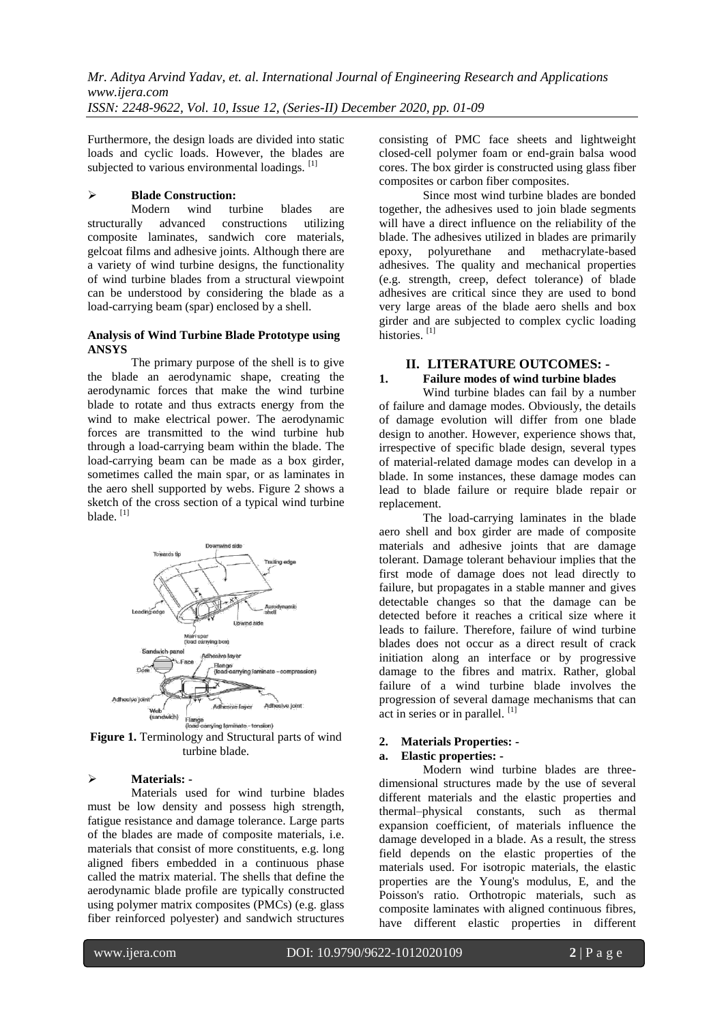Furthermore, the design loads are divided into static loads and cyclic loads. However, the blades are subjected to various environmental loadings. <sup>[1]</sup>

# **Blade Construction:**

Modern wind turbine blades are<br>structurally advanced constructions utilizing constructions utilizing composite laminates, sandwich core materials, gelcoat films and adhesive joints. Although there are a variety of wind turbine designs, the functionality of wind turbine blades from a structural viewpoint can be understood by considering the blade as a load-carrying beam (spar) enclosed by a shell.

#### **Analysis of Wind Turbine Blade Prototype using ANSYS**

The primary purpose of the shell is to give the blade an aerodynamic shape, creating the aerodynamic forces that make the wind turbine blade to rotate and thus extracts energy from the wind to make electrical power. The aerodynamic forces are transmitted to the wind turbine hub through a load-carrying beam within the blade. The load-carrying beam can be made as a box girder, sometimes called the main spar, or as laminates in the aero shell supported by webs. Figure 2 shows a sketch of the cross section of a typical wind turbine blade. [1]



**Figure 1.** Terminology and Structural parts of wind turbine blade.

#### **Materials: -**

Materials used for wind turbine blades must be low density and possess high strength, fatigue resistance and damage tolerance. Large parts of the blades are made of composite materials, i.e. materials that consist of more constituents, e.g. long aligned fibers embedded in a continuous phase called the matrix material. The shells that define the aerodynamic blade profile are typically constructed using polymer matrix composites (PMCs) (e.g. glass fiber reinforced polyester) and sandwich structures consisting of PMC face sheets and lightweight closed-cell polymer foam or end-grain balsa wood cores. The box girder is constructed using glass fiber composites or carbon fiber composites.

Since most wind turbine blades are bonded together, the adhesives used to join blade segments will have a direct influence on the reliability of the blade. The adhesives utilized in blades are primarily epoxy, polyurethane and methacrylate-based adhesives. The quality and mechanical properties (e.g. strength, creep, defect tolerance) of blade adhesives are critical since they are used to bond very large areas of the blade aero shells and box girder and are subjected to complex cyclic loading histories.<sup>[1]</sup>

# **II. LITERATURE OUTCOMES: -**

#### **1. Failure modes of wind turbine blades**

Wind turbine blades can fail by a number of failure and damage modes. Obviously, the details of damage evolution will differ from one blade design to another. However, experience shows that, irrespective of specific blade design, several types of material-related damage modes can develop in a blade. In some instances, these damage modes can lead to blade failure or require blade repair or replacement.

The load-carrying laminates in the blade aero shell and box girder are made of composite materials and adhesive joints that are damage tolerant. Damage tolerant behaviour implies that the first mode of damage does not lead directly to failure, but propagates in a stable manner and gives detectable changes so that the damage can be detected before it reaches a critical size where it leads to failure. Therefore, failure of wind turbine blades does not occur as a direct result of crack initiation along an interface or by progressive damage to the fibres and matrix. Rather, global failure of a wind turbine blade involves the progression of several damage mechanisms that can act in series or in parallel.  $[1]$ 

#### **2. Materials Properties: -**

# **a. Elastic properties: -**

Modern wind turbine blades are threedimensional structures made by the use of several different materials and the elastic properties and thermal–physical constants, such as thermal expansion coefficient, of materials influence the damage developed in a blade. As a result, the stress field depends on the elastic properties of the materials used. For isotropic materials, the elastic properties are the Young's modulus, E, and the Poisson's ratio. Orthotropic materials, such as composite laminates with aligned continuous fibres, have different elastic properties in different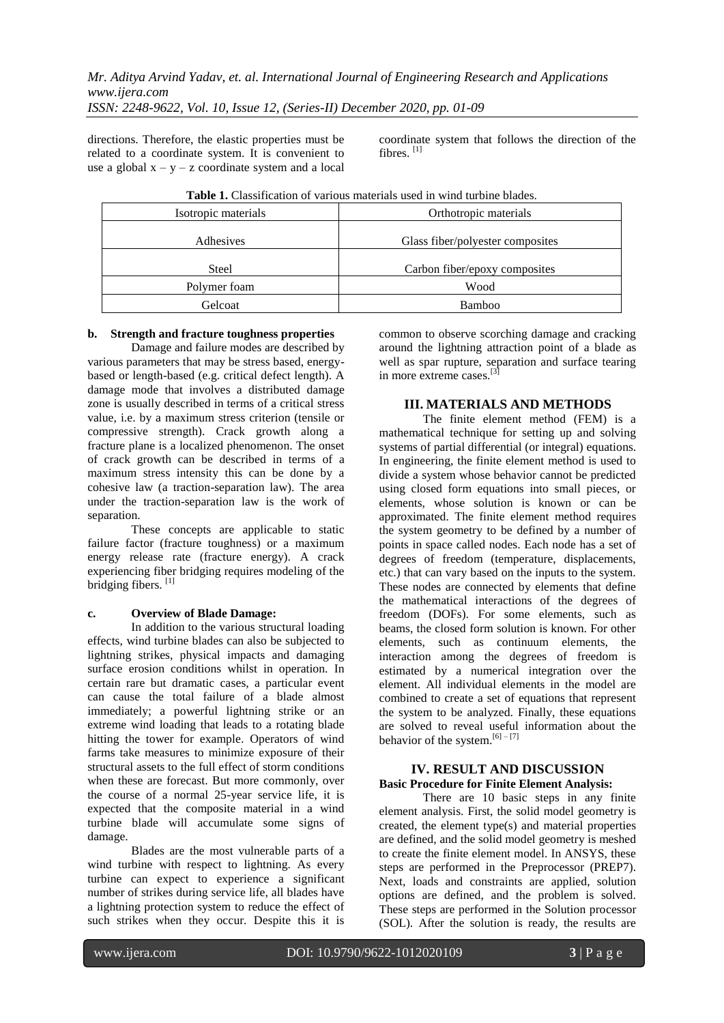directions. Therefore, the elastic properties must be related to a coordinate system. It is convenient to use a global  $x - y - z$  coordinate system and a local coordinate system that follows the direction of the fibres. [1]

|  |  |  | <b>Table 1.</b> Classification of various materials used in wind turbine blades. |
|--|--|--|----------------------------------------------------------------------------------|
|--|--|--|----------------------------------------------------------------------------------|

| Isotropic materials | Orthotropic materials            |
|---------------------|----------------------------------|
| Adhesives           | Glass fiber/polyester composites |
| Steel               | Carbon fiber/epoxy composites    |
| Polymer foam        | Wood                             |
| Gelcoat             | Bamboo                           |

#### **b. Strength and fracture toughness properties**

Damage and failure modes are described by various parameters that may be stress based, energybased or length-based (e.g. critical defect length). A damage mode that involves a distributed damage zone is usually described in terms of a critical stress value, i.e. by a maximum stress criterion (tensile or compressive strength). Crack growth along a fracture plane is a localized phenomenon. The onset of crack growth can be described in terms of a maximum stress intensity this can be done by a cohesive law (a traction-separation law). The area under the traction-separation law is the work of separation.

These concepts are applicable to static failure factor (fracture toughness) or a maximum energy release rate (fracture energy). A crack experiencing fiber bridging requires modeling of the bridging fibers. [1]

#### **c. Overview of Blade Damage:**

In addition to the various structural loading effects, wind turbine blades can also be subjected to lightning strikes, physical impacts and damaging surface erosion conditions whilst in operation. In certain rare but dramatic cases, a particular event can cause the total failure of a blade almost immediately; a powerful lightning strike or an extreme wind loading that leads to a rotating blade hitting the tower for example. Operators of wind farms take measures to minimize exposure of their structural assets to the full effect of storm conditions when these are forecast. But more commonly, over the course of a normal 25-year service life, it is expected that the composite material in a wind turbine blade will accumulate some signs of damage.

Blades are the most vulnerable parts of a wind turbine with respect to lightning. As every turbine can expect to experience a significant number of strikes during service life, all blades have a lightning protection system to reduce the effect of such strikes when they occur. Despite this it is common to observe scorching damage and cracking around the lightning attraction point of a blade as well as spar rupture, separation and surface tearing in more extreme cases.<sup>[3]</sup>

## **III. MATERIALS AND METHODS**

The finite element method (FEM) is a mathematical technique for setting up and solving systems of partial differential (or integral) equations. In engineering, the finite element method is used to divide a system whose behavior cannot be predicted using closed form equations into small pieces, or elements, whose solution is known or can be approximated. The finite element method requires the system geometry to be defined by a number of points in space called nodes. Each node has a set of degrees of freedom (temperature, displacements, etc.) that can vary based on the inputs to the system. These nodes are connected by elements that define the mathematical interactions of the degrees of freedom (DOFs). For some elements, such as beams, the closed form solution is known. For other elements, such as continuum elements, the interaction among the degrees of freedom is estimated by a numerical integration over the element. All individual elements in the model are combined to create a set of equations that represent the system to be analyzed. Finally, these equations are solved to reveal useful information about the behavior of the system.<sup>[6] – [7]</sup>

#### **IV. RESULT AND DISCUSSION Basic Procedure for Finite Element Analysis:**

There are 10 basic steps in any finite element analysis. First, the solid model geometry is created, the element type(s) and material properties are defined, and the solid model geometry is meshed to create the finite element model. In ANSYS, these steps are performed in the Preprocessor (PREP7). Next, loads and constraints are applied, solution options are defined, and the problem is solved. These steps are performed in the Solution processor (SOL). After the solution is ready, the results are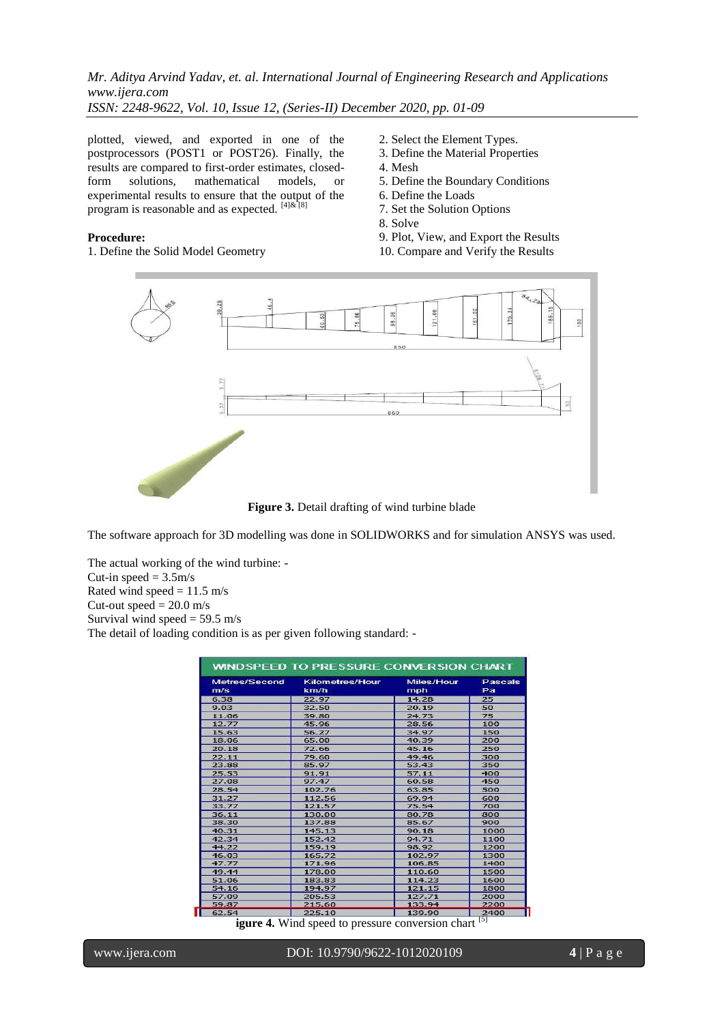plotted, viewed, and exported in one of the postprocessors (POST1 or POST26). Finally, the results are compared to first-order estimates, closed-<br>form solutions, mathematical models, or form solutions, mathematical models, or experimental results to ensure that the output of the program is reasonable and as expected.  $[4]$ & [8]

#### **Procedure:**

1. Define the Solid Model Geometry

- 2. Select the Element Types.
- 3. Define the Material Properties
- 4. Mesh
- 5. Define the Boundary Conditions
- 6. Define the Loads
- 7. Set the Solution Options
- 8. Solve
- 9. Plot, View, and Export the Results
- 10. Compare and Verify the Results



**Figure 3.** Detail drafting of wind turbine blade

The software approach for 3D modelling was done in SOLIDWORKS and for simulation ANSYS was used.

The actual working of the wind turbine: - Cut-in speed  $= 3.5$ m/s Rated wind speed  $= 11.5$  m/s Cut-out speed  $= 20.0$  m/s Survival wind speed  $= 59.5$  m/s The detail of loading condition is as per given following standard: -

| Metres/Second<br>m/s | <b>Kilometres/Hour</b><br>km/h | Miles/Hour<br>mph | Pascals<br>Pa |
|----------------------|--------------------------------|-------------------|---------------|
| 6.38                 | 22.97                          | 14.28             | 25            |
| 9.03                 | 32.50                          | 20.19             | 50            |
| 11.06                | 39.80                          | 24.73             | 75            |
| 12.77                | 45.96                          | 28.56             | 100           |
| 15.63                | 56.27                          | 34.97             | 150           |
| 18.06                | 65.00                          | 40.39             | 200           |
| 20.18                | 72.66                          | 45.16             | 250           |
| 22.11                | 79.60                          | 49.46             | 300           |
| 23.88                | 85.97                          | 53.43             | 350           |
| 25.53                | 91.91                          | 57.11             | 400           |
| 27.08                | 97.47                          | 60.58             | 450           |
| 28.54                | 102.76                         | 63.85             | 500           |
| 31.27                | 112.56                         | 69.94             | 600           |
| 33.77                | 121.57                         | 75.54             | 700           |
| 36.11                | 130.00                         | 80.78             | 800           |
| 38.30                | 137.88                         | 85.67             | 900           |
| 40.31                | 145.13                         | 90.18             | 1000          |
| 42.34                | 152.42                         | 94.71             | 1100          |
| 44.22                | 159.19                         | 98.92             | 1200          |
| 46.03                | 165.72                         | 102.97            | 1300          |
| 47.77                | 171.96                         | 106.85            | 1400          |
| 49.44                | 178.00                         | 110.60            | 1500          |
| 51.06                | 183.83                         | 114.23            | 1600          |
| 54.16                | 194.97                         | 121.15            | 1800          |
| 57.09                | 205.53                         | 127.71            | 2000          |
| 59.87                | 215.60                         | 133.94            | 2200          |
| 62.54                | 225.10                         | 139.90            | 2400          |

**igure 4.** Wind speed to pressure conversion chart <sup>[5]</sup>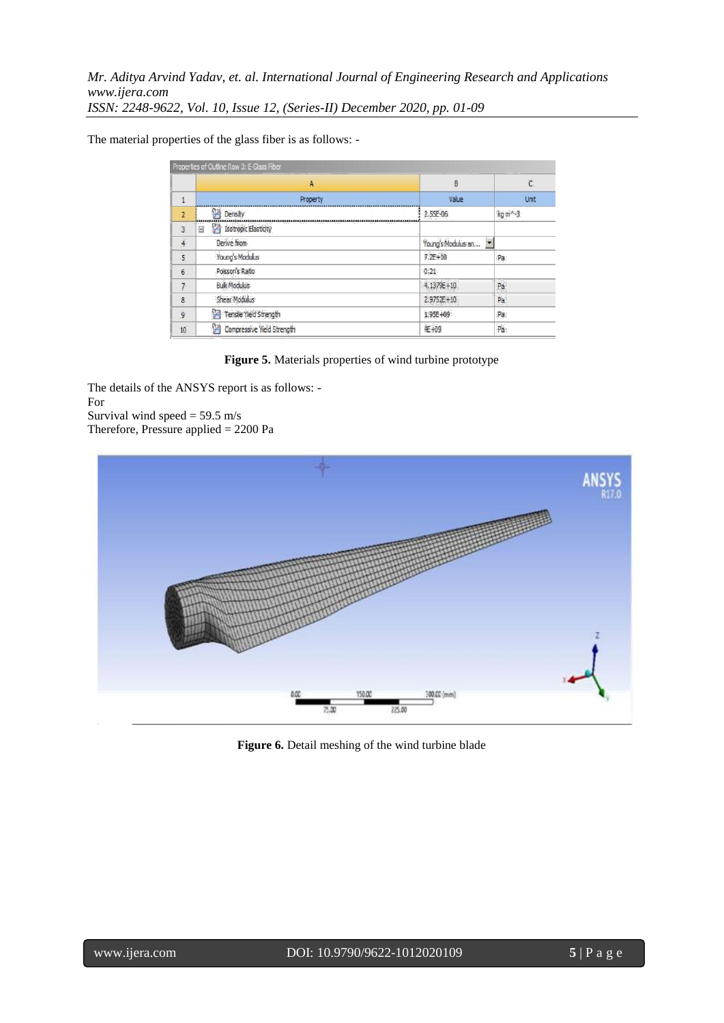The material properties of the glass fiber is as follows: -

|                | Properties of Outline Row 3: E-Glass Fiber |                                      |                |  |
|----------------|--------------------------------------------|--------------------------------------|----------------|--|
|                | A                                          | B                                    | $\overline{C}$ |  |
| ٠              | Property                                   | Value                                | <b>Unit</b>    |  |
| $\overline{2}$ | Density                                    | 2.55E-06                             | $kq m^{-3}$    |  |
| 3              | <b>Isotropic Elasticity</b><br>Ξ           |                                      |                |  |
| 4              | Derive from                                | $\blacksquare$<br>Young's Modulus an |                |  |
| 5              | Young's Modulus                            | $7.2E + 10$                          | Pa             |  |
| $6\phantom{1}$ | Poisson's Ratio                            | 0.21                                 |                |  |
| $\overline{7}$ | <b>Bulk Modulus</b>                        | 4.1379E+10                           | Pa             |  |
| 8              | Shear Modulus                              | $2.9752E + 10$                       | Pa             |  |
| $\overline{9}$ | Y<br>Tensile Yield Strength                | 1.95E+09                             | Pa             |  |
| 10             | Z<br>Compressive Yield Strength            | 4E+09                                | Pa             |  |

**Figure 5.** Materials properties of wind turbine prototype

The details of the ANSYS report is as follows: - For Survival wind speed  $= 59.5$  m/s Therefore, Pressure applied = 2200 Pa



**Figure 6.** Detail meshing of the wind turbine blade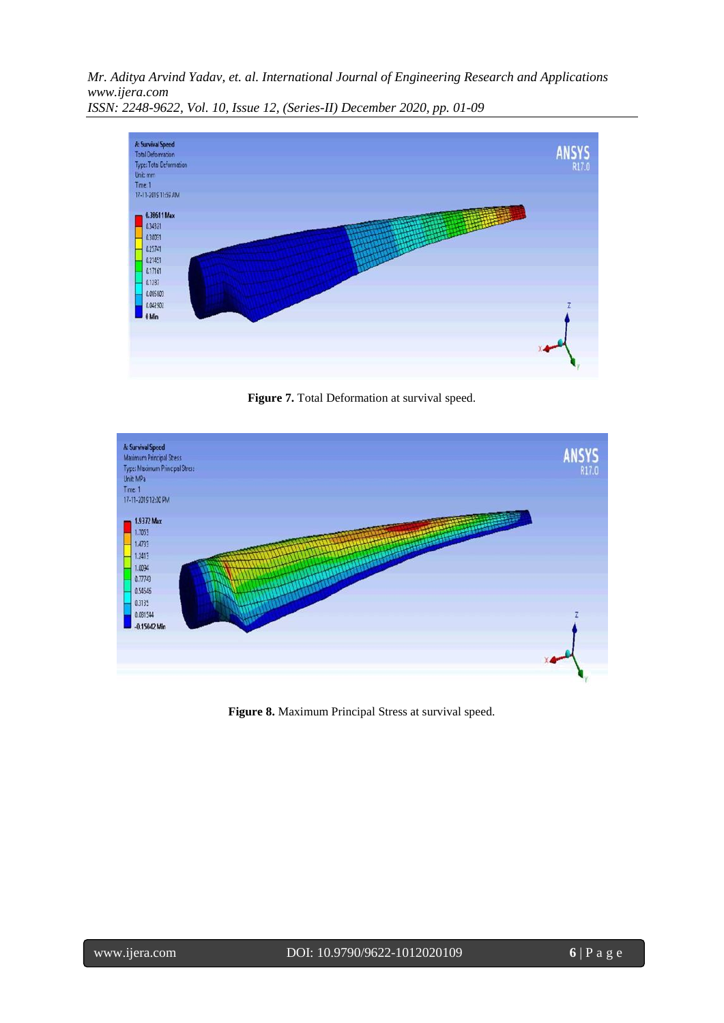

**Figure 7.** Total Deformation at survival speed.



**Figure 8.** Maximum Principal Stress at survival speed.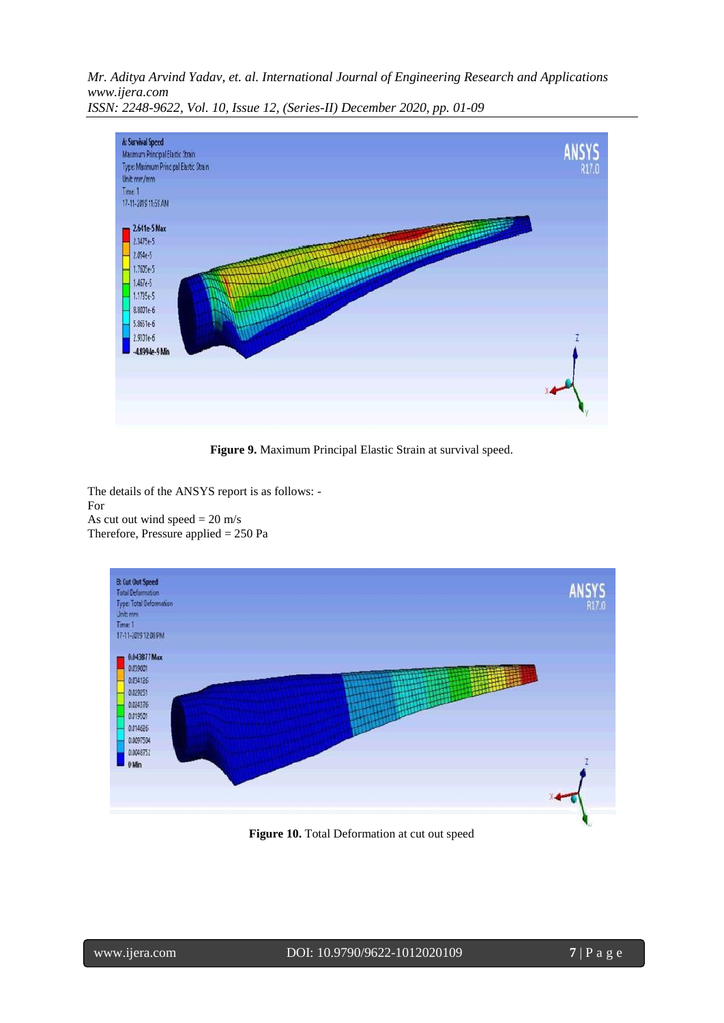

**Figure 9.** Maximum Principal Elastic Strain at survival speed.

The details of the ANSYS report is as follows: - For As cut out wind speed  $= 20$  m/s Therefore, Pressure applied = 250 Pa



**Figure 10.** Total Deformation at cut out speed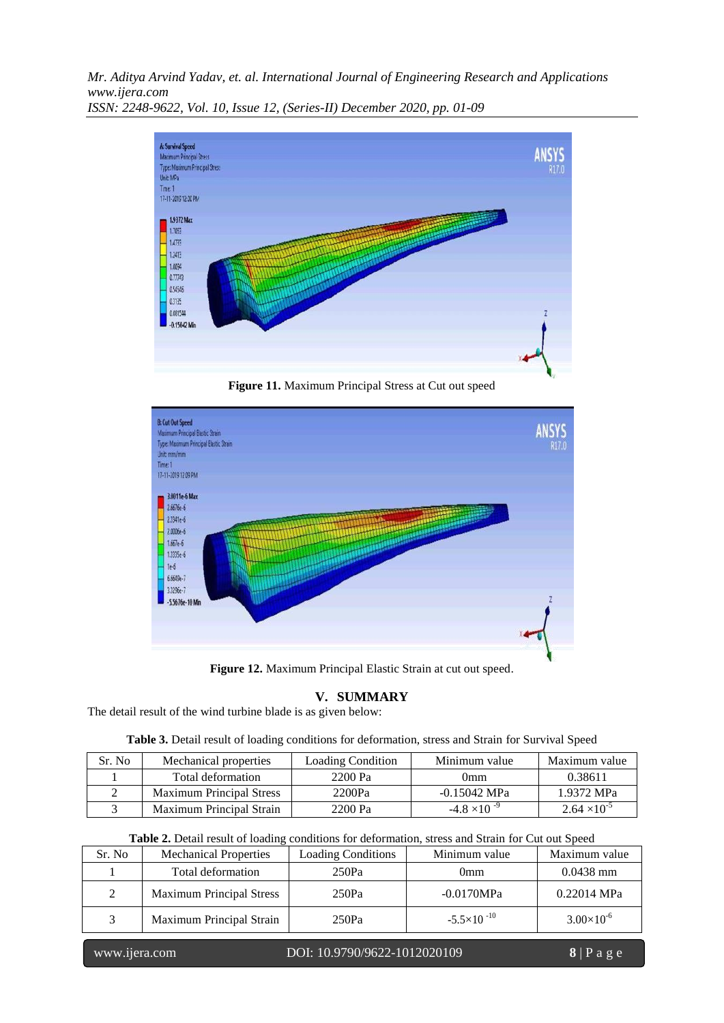

**Figure 11.** Maximum Principal Stress at Cut out speed



**Figure 12.** Maximum Principal Elastic Strain at cut out speed.

# **V. SUMMARY**

The detail result of the wind turbine blade is as given below:

|  |  |  | Table 3. Detail result of loading conditions for deformation, stress and Strain for Survival Speed |  |  |  |  |
|--|--|--|----------------------------------------------------------------------------------------------------|--|--|--|--|
|  |  |  |                                                                                                    |  |  |  |  |

| Sr. No | Mechanical properties           | <b>Loading Condition</b> | Minimum value         | Maximum value         |
|--------|---------------------------------|--------------------------|-----------------------|-----------------------|
|        | Total deformation               | 2200 Pa                  | 0mm                   | 0.38611               |
|        | <b>Maximum Principal Stress</b> | 2200Pa                   | -0.15042 MPa          | 1.9372 MPa            |
|        | Maximum Principal Strain        | 2200 Pa                  | $-4.8 \times 10^{-9}$ | $2.64 \times 10^{-5}$ |

| Table 2. Detail result of loading conditions for deformation, stress and Strain for Cut out Speed |  |
|---------------------------------------------------------------------------------------------------|--|
|---------------------------------------------------------------------------------------------------|--|

| Sr. No | <b>Mechanical Properties</b>    | <b>Loading Conditions</b> | Minimum value        |                     |  |
|--------|---------------------------------|---------------------------|----------------------|---------------------|--|
|        | Total deformation               | 250Pa                     | 0mm                  | $0.0438$ mm         |  |
|        | <b>Maximum Principal Stress</b> | 250Pa                     | $-0.0170MPa$         | $0.22014$ MPa       |  |
|        | Maximum Principal Strain        | 250Pa                     | $-5.5\times10^{-10}$ | $3.00\times10^{-6}$ |  |